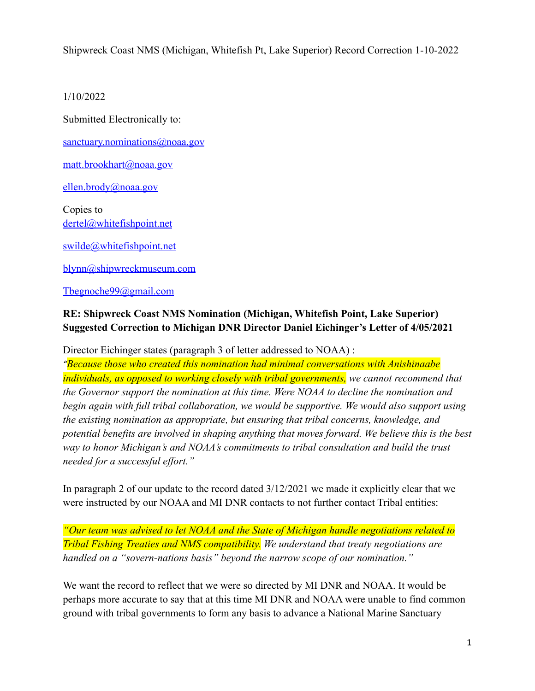Shipwreck Coast NMS (Michigan, Whitefish Pt, Lake Superior) Record Correction 1-10-2022

## 1/10/2022

Submitted Electronically to:

[sanctuary.nominations@noaa.gov](mailto:sanctuary.nominations@noaa.gov)

[matt.brookhart@noaa.gov](mailto:matt.brookhart@noaa.gov)

[ellen.brody@noaa.gov](mailto:ellen.brody@noaa.gov)

Copies to [dertel@whitefishpoint.net](mailto:dertel@whitefishpoint.net)

[swilde@whitefishpoint.net](mailto:swilde@whitefishpoint.net)

[blynn@shipwreckmuseum.com](mailto:blynn@shipwreckmuseum.com)

## [Tbegnoche99@gmail.com](mailto:Tbegnoche99@gmail.com)

## **RE: Shipwreck Coast NMS Nomination (Michigan, Whitefish Point, Lake Superior) Suggested Correction to Michigan DNR Director Daniel Eichinger's Letter of 4/05/2021**

Director Eichinger states (paragraph 3 of letter addressed to NOAA) :

*"Because those who created this nomination had minimal conversations with Anishinaabe individuals, as opposed to working closely with tribal governments, we cannot recommend that the Governor support the nomination at this time. Were NOAA to decline the nomination and begin again with full tribal collaboration, we would be supportive. We would also support using the existing nomination as appropriate, but ensuring that tribal concerns, knowledge, and potential benefits are involved in shaping anything that moves forward. We believe this is the best way to honor Michigan's and NOAA's commitments to tribal consultation and build the trust needed for a successful effort."*

In paragraph 2 of our update to the record dated 3/12/2021 we made it explicitly clear that we were instructed by our NOAA and MI DNR contacts to not further contact Tribal entities:

*"Our team was advised to let NOAA and the State of Michigan handle negotiations related to Tribal Fishing Treaties and NMS compatibility. We understand that treaty negotiations are handled on a "sovern-nations basis" beyond the narrow scope of our nomination."*

We want the record to reflect that we were so directed by MI DNR and NOAA. It would be perhaps more accurate to say that at this time MI DNR and NOAA were unable to find common ground with tribal governments to form any basis to advance a National Marine Sanctuary